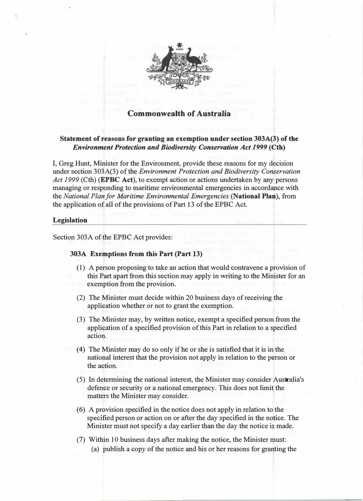

# Commonwealth of Australia

## Statement of reasons for granting an exemption under section 303A(3) of the Environment Protection and Biodiversity Conservation Act 1999 (Cth)

I, Greg Hunt, Minister for the Environment, provide these reasons for my decision under section 303A(3) of the *Environment Protection and Biodiversity Conservation* Act 1999 (Cth) (**EPBC Act**), to exempt action or actions undertaken by any persons managing or responding to maritime environmental emergencies in accordance with the National Plan for Maritime Environmental Emergencies (National Plan), from the application of all of the provisions of Part 13 of the EPBC Act.

## Legislation

Section 303A of the EPBC Act provides:

## 303A Exemptions from this Part (Part 13)

- (1) A person proposing to take an action that would contravene a provision of this Part apart from this section may apply in writing to the Minister for an exemption from the provision.
- (2) The Minister must decide within 20 business days of receiving the application whether or not to grant the exemption.
- (3) The Minister may, by written notice, exempt a specified person from the application of a specified provision of this Part in relation to a specified action.
- (4) The Minister may do so only if he or she is satisfied that it is in the national interest that the provision not apply in relation to the person or the action.
- (5) In determining the national interest, the Minister may consider Australia's defence or security or a national emergency. This does not limit the matters the Minister may consider.
- (6) A provision specified in the notice does not apply in relation to the specified person or action on or after the day specified in the notice. The Minister must not specify a day earlier than the day the notice is made.
- (7) Within 10 business days after making the notice, the Minister must: (a) publish a copy of the notice and his or her reasons for granting the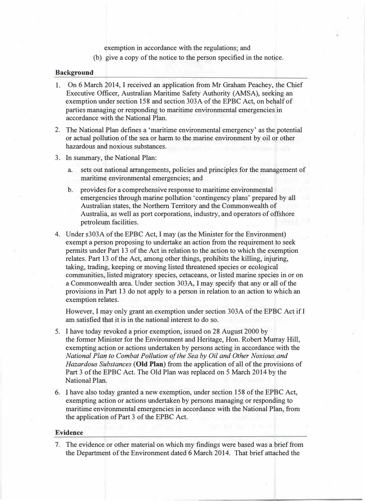exemption in accordance with the regulations; and

(b) give a copy of the notice to the person specified in the notice.

#### Background

- 1. On 6 March 2014, I received an application from Mr Graham Peachey, the Chief Executive Officer, Australian Maritime Safety Authority (AMSA), seeking an exemption under section 158 and section 303A of the EPBC Act, on behalf of parties managing or responding to maritime environmental emergencies in accordance with the National Plan.
- 2. The National Plan defines a 'maritime environmental emergency' as the potential or actual pollution of the sea or harm to the marine environment by oil or other hazardous and noxious substances.
- 3. In summary, the National Plan:
	- a. sets out national arrangements, policies and principl�s for the management of maritime environmental emergencies; and
	- b. provides for a comprehensive response to maritime environmental emergencies through marine pollution 'contingency plans' prepared by all Australian states, the Northern Territory and the Commonwealth of Australia, as well as port corporations, industry, and operators of offshore petroleum facilities.
- 4. Under s303A of the EPBC Act, I may (as the Minister for the Environment) exempt a person proposing to undertake an action from the requirement to seek permits under Part 13 of the Act in relation to the action to which the exemption relates. Part 13 of the Act, among other things, prohibits the killing, injuring, taking, trading, keeping or moving listed threatened species or ecological communities, listed migratory species, cetaceans, or listed marine species in or on a Commonwealth area. Under section 303A, I may specify that any or all of the provisions in Part 13 do not apply to a person in relation to an action to which an exemption relates.

However, I may only grant an exemption under section 303A of the EPBC Act ifl am satisfied that it is in the national interest to do so.

- 5. I have today revoked a prior exemption, issued on 28 August 2000 by the former Minister for the Environment and Heritage, Hon. Robert Murray Hill, exempting action or actions undertaken by persons acting in accordance with the National Plan to Combat Pollution of the Sea by Oil and Other Noxious and Hazardous Substances (Old Plan) from the application of all of the provisions of Part 3 of the EPBC Act. The Old Plan was replaced on 5 March 2014 by the National Plan.
- 6. I have also today granted a new exemption, under section 158 of the EPBC Act, exempting action or actions undertaken by persons managing or responding to maritime environmental emergencies in accordance with the National Plan, from the application of Part 3 of the EPBC Act.

### Evidence

7. The evidence or other material on which my findings were based was a brief from the Department of the Environment dated 6 March 2014. That brief attached the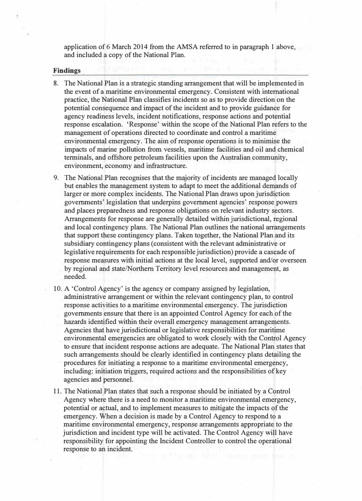application of 6 March 2014 from the AMSA referred to in paragraph 1 above, and included a copy of the National Plan.

#### **Findings**

- 8. The National Plan is a strategic standing arrangement that will be implemented in the event of a maritime environmental emergency. Consistent with international practice, the National Plan classifies incidents so as to provide direction on the potential consequence and impact of the incident and to provide guidance for agency readiness levels, incident notifications, response actions and potential response escalation. 'Response' within the scope of the National Plan refers to the management of operations directed to coordinate and control a maritime environmental emergency. The aiin of response operations is to minimise the impacts of marine pollution from vessels, maritime facilities and oil and chemical terminals, and offshore petroleum facilities upon the Australian community, environment, economy and infrastructure.
- 9. The National Plan recognises that the majority of incidents are managed locally but enables the management system to adapt to meet the additional demands of larger or more complex incidents. The National Plan draws upon jurisdiction governments' legislation that underpins government agencies' response powers and places preparedness and response obligations on relevant industry sectors. Arrangements for response are generally detailed within jurisdictional, regional and local contingency plans. The National Plan outlines the national arrangements that support these contingency plans. Taken together, the National Plan and its subsidiary contingency plans (consistent with the relevant administrative or legislative requirements for each responsible jurisdiction) provide a cascade of response measures with initial actions at the local level, supported and/or overseen by regional and state/Northern Territory level resources and management, as needed.
- 10. A 'Control Agency' is the agency or company assigned by legislation, administrative arrangement or within the relevant contingency plan, to control response activities to a maritime environmental emergency. The jurisdiction governments ensure that there is an appointed Control Agency for each of the hazards identified within their overall emergency management arrangements. Agencies that have jurisdictional or legislative responsibilities for maritime environmental emergencies are obligated to work closely with the Control Agency to ensure that incident response actions are adequate. The National Plan states that such arrangements should be clearly identified in contingency plans detailing the procedures for initiating a response to a maritime environmental emergency, including: initiation triggers, required actions and the responsibilities of key agencies and personnel.
- 11. The National Plan states that such a response should be initiated by a Control Agency where there is a need to monitor a maritime environmental emergency, potential or actual, and to implement measures to mitigate the impacts of the emergency. When a decision is made by a Control Agency to respond to a maritime environmental emergency, response arrangements appropriate to the jurisdiction and incident type will be activated. The Control Agency will have responsibility for appointing the Incident Controller to control the operational response to an incident.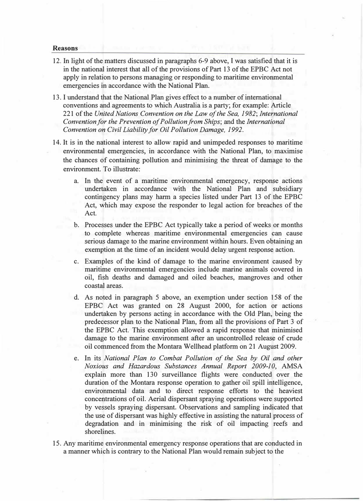#### Reasons

- 12. In light of the matters discussed in paragraphs 6-9 above, I was satisfied that it is in the national interest that all of the provisions of Part 13 of the EPBC Act not apply in relation to persons managing or responding to maritime environmental emergencies in accordance with the National Plan.
- 13. I understand that the National Plan gives effect to a number of international conventions and agreements to which Australia is a party; for example: Article 221 of the United Nations Convention on the Law of the Sea, 1982; International Convention for the Prevention of Pollution from Ships; and the International Convention on Civil Liability for Oil Pollution Damage, 1992.
- 14. It is in the national interest to allow rapid and unimpeded responses to maritime environmental emergencies, in accordance with the National Plan, to maximise the chances of containing pollution and minimising the threat of damage to the environment. To illustrate:
	- a. In the event of a maritime environmental emergency, response actions undertaken in accordance with the National Plan and subsidiary contingency plans may harm a species listed under Part 13 of the EPBC Act, which may expose the responder to legal action for breaches of the Act.
	- b. Processes under the EPBC Act typically take a period of weeks or months to complete whereas maritime environmental emergencies can cause serious damage to the marine environment within hours. Even obtaining an exemption at the time of an incident would delay urgent response action.
	- c. Examples of the kind of damage to the marine environment caused by maritime environmental emergencies include marine animals covered in oil, fish deaths and damaged and oiled beaches, mangroves and other coastal areas.
	- d. As noted in paragraph 5 above, an exemption under section 158 of the EPBC Act was granted on 28 August 2000, for action or actions undertaken by persons acting in accordance with the Old Plan, being the predecessor plan to the National Plan, from all the provisions of Part 3 of the EPBC Act. This exemption allowed a rapid response that minimised damage to the marine environment after an uncontrolled release of crude oil commenced from the Montara Wellhead platform on 21 August 2009.
	- e. In its National Plan to Combat Pollution of the Sea by Oil and other Noxious and Hazardous Substances Annual Report 2009-10, AMSA explain more than 130 surveillance flights were conducted over the duration of the Montara response operation to gather oil spill intelligence, environmental data and to direct response efforts to the heaviest concentrations of oil. Aerial dispersant spraying operations were supported by vessels spraying dispersant. Observations and sampling indicated that the use of dispersant was highly effective in assisting the natural process of degradation and in minimising the risk of oil impacting reefs and shorelines.
- 15. Any maritime environmental emergency response operations that are conducted in a manner which is contrary to the National Plan would remain subject to the